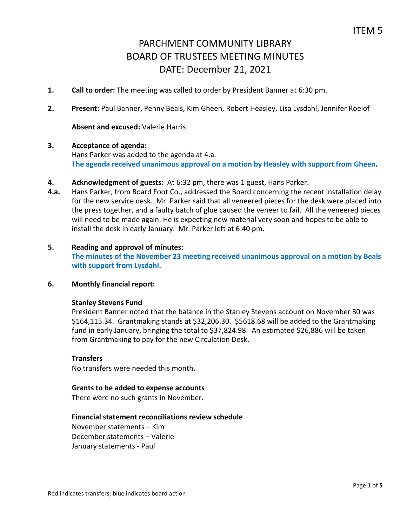- **1. Call to order:** The meeting was called to order by President Banner at 6:30 pm.
- **2. Present:** Paul Banner, Penny Beals, Kim Gheen, Robert Heasley, Lisa Lysdahl, Jennifer Roelof

## **Absent and excused:** Valerie Harris

### **3. Acceptance of agenda:**

Hans Parker was added to the agenda at 4.a. **The agenda received unanimous approval on a motion by Heasley with support from Gheen.**

- **4. Acknowledgment of guests:** At 6:32 pm, there was 1 guest, Hans Parker.
- **4.a.** Hans Parker, from Board Foot Co., addressed the Board concerning the recent installation delay for the new service desk. Mr. Parker said that all veneered pieces for the desk were placed into the press together, and a faulty batch of glue caused the veneer to fail. All the veneered pieces will need to be made again. He is expecting new material very soon and hopes to be able to install the desk in early January. Mr. Parker left at 6:40 pm.

## **5. Reading and approval of minutes**:

**The minutes of the November 23 meeting received unanimous approval on a motion by Beals with support from Lysdahl.** 

### **6. Monthly financial report:**

#### **Stanley Stevens Fund**

President Banner noted that the balance in the Stanley Stevens account on November 30 was \$164,115.34. Grantmaking stands at \$32,206.30. \$5618.68 will be added to the Grantmaking fund in early January, bringing the total to \$37,824.98. An estimated \$26,886 will be taken from Grantmaking to pay for the new Circulation Desk.

## **Transfers**

No transfers were needed this month.

#### **Grants to be added to expense accounts**

There were no such grants in November.

## **Financial statement reconciliations review schedule**

November statements – Kim December statements – Valerie January statements - Paul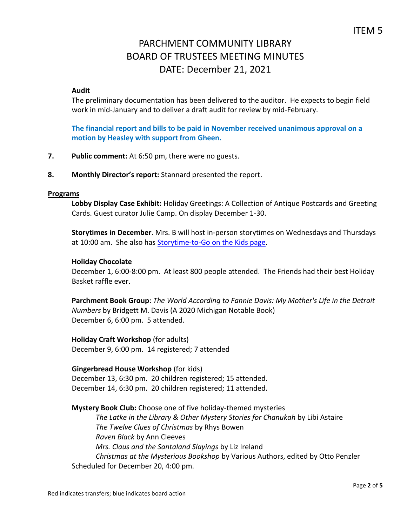## **Audit**

The preliminary documentation has been delivered to the auditor. He expects to begin field work in mid-January and to deliver a draft audit for review by mid-February.

**The financial report and bills to be paid in November received unanimous approval on a motion by Heasley with support from Gheen.**

- **7. Public comment:** At 6:50 pm, there were no guests.
- **8. Monthly Director's report:** Stannard presented the report.

### **Programs**

**Lobby Display Case Exhibit:** Holiday Greetings: A Collection of Antique Postcards and Greeting Cards. Guest curator Julie Camp. On display December 1-30.

**Storytimes in December**. Mrs. B will host in-person storytimes on Wednesdays and Thursdays at 10:00 am. She also has [Storytime-to-Go on the Kids page.](https://www.parchmentlibrary.org/storytimes-programs)

## **Holiday Chocolate**

December 1, 6:00-8:00 pm. At least 800 people attended. The Friends had their best Holiday Basket raffle ever.

**Parchment Book Group**: *The World According to Fannie Davis: My Mother's Life in the Detroit Numbers* by Bridgett M. Davis (A 2020 Michigan Notable Book) December 6, 6:00 pm. 5 attended.

**Holiday Craft Workshop** (for adults) December 9, 6:00 pm. 14 registered; 7 attended

## **Gingerbread House Workshop** (for kids)

December 13, 6:30 pm. 20 children registered; 15 attended. December 14, 6:30 pm. 20 children registered; 11 attended.

**Mystery Book Club:** Choose one of five holiday-themed mysteries *The Latke in the Library & Other Mystery Stories for Chanukah* by Libi Astaire *The Twelve Clues of Christmas* by Rhys Bowen *Raven Black* by Ann Cleeves *Mrs. Claus and the Santaland Slayings* by Liz Ireland *Christmas at the Mysterious Bookshop* by Various Authors, edited by Otto Penzler Scheduled for December 20, 4:00 pm.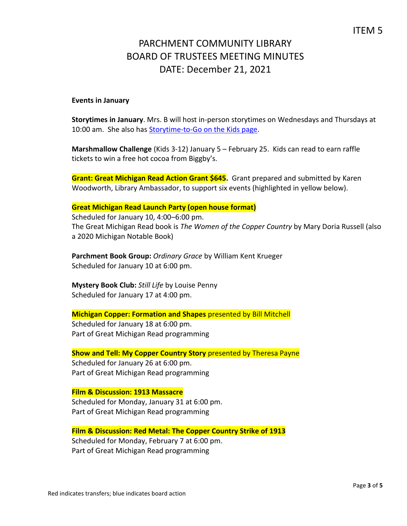## **Events in January**

**Storytimes in January**. Mrs. B will host in-person storytimes on Wednesdays and Thursdays at 10:00 am. She also has [Storytime-to-Go on the Kids page.](https://www.parchmentlibrary.org/storytimes-programs)

**Marshmallow Challenge** (Kids 3-12) January 5 – February 25. Kids can read to earn raffle tickets to win a free hot cocoa from Biggby's.

**Grant: Great Michigan Read Action Grant \$645.** Grant prepared and submitted by Karen Woodworth, Library Ambassador, to support six events (highlighted in yellow below).

## **Great Michigan Read Launch Party (open house format)**

Scheduled for January 10, 4:00–6:00 pm. The Great Michigan Read book is *The Women of the Copper Country* by Mary Doria Russell (also a 2020 Michigan Notable Book)

**Parchment Book Group:** *Ordinary Grace* by William Kent Krueger Scheduled for January 10 at 6:00 pm.

**Mystery Book Club:** *Still Life* by Louise Penny Scheduled for January 17 at 4:00 pm.

## **Michigan Copper: Formation and Shapes** presented by Bill Mitchell

Scheduled for January 18 at 6:00 pm. Part of Great Michigan Read programming

**Show and Tell: My Copper Country Story** presented by Theresa Payne

Scheduled for January 26 at 6:00 pm. Part of Great Michigan Read programming

## **Film & Discussion: 1913 Massacre**

Scheduled for Monday, January 31 at 6:00 pm. Part of Great Michigan Read programming

**Film & Discussion: Red Metal: The Copper Country Strike of 1913** Scheduled for Monday, February 7 at 6:00 pm. Part of Great Michigan Read programming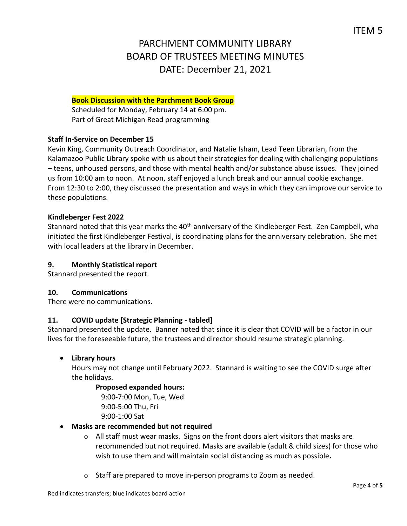# **Book Discussion with the Parchment Book Group**

Scheduled for Monday, February 14 at 6:00 pm. Part of Great Michigan Read programming

# **Staff In-Service on December 15**

Kevin King, Community Outreach Coordinator, and Natalie Isham, Lead Teen Librarian, from the Kalamazoo Public Library spoke with us about their strategies for dealing with challenging populations – teens, unhoused persons, and those with mental health and/or substance abuse issues. They joined us from 10:00 am to noon. At noon, staff enjoyed a lunch break and our annual cookie exchange. From 12:30 to 2:00, they discussed the presentation and ways in which they can improve our service to these populations.

## **Kindleberger Fest 2022**

Stannard noted that this year marks the 40<sup>th</sup> anniversary of the Kindleberger Fest. Zen Campbell, who initiated the first Kindleberger Festival, is coordinating plans for the anniversary celebration. She met with local leaders at the library in December.

## **9. Monthly Statistical report**

Stannard presented the report.

## **10. Communications**

There were no communications.

# **11. COVID update [Strategic Planning - tabled]**

Stannard presented the update. Banner noted that since it is clear that COVID will be a factor in our lives for the foreseeable future, the trustees and director should resume strategic planning.

# **Library hours**

Hours may not change until February 2022. Stannard is waiting to see the COVID surge after the holidays.

# **Proposed expanded hours:**

 9:00-7:00 Mon, Tue, Wed 9:00-5:00 Thu, Fri 9:00-1:00 Sat

## **Masks are recommended but not required**

- $\circ$  All staff must wear masks. Signs on the front doors alert visitors that masks are recommended but not required. Masks are available (adult & child sizes) for those who wish to use them and will maintain social distancing as much as possible**.**
- $\circ$  Staff are prepared to move in-person programs to Zoom as needed.